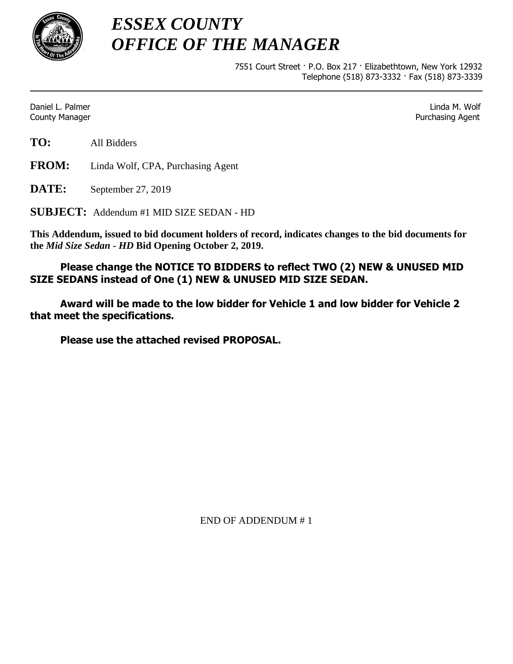

*ESSEX COUNTY OFFICE OF THE MANAGER*

> 7551 Court Street · P.O. Box 217 · Elizabethtown, New York 12932 Telephone (518) 873-3332 · Fax (518) 873-3339

Daniel L. Palmer Linda M. Wolf **County Manager County Manager 2018 Purchasing Agent** County Manager 2018 **Purchasing Agent** 

**TO:** All Bidders

**FROM:** Linda Wolf, CPA, Purchasing Agent

**DATE:** September 27, 2019

**SUBJECT:** Addendum #1 MID SIZE SEDAN - HD

**This Addendum, issued to bid document holders of record, indicates changes to the bid documents for the** *Mid Size Sedan - HD* **Bid Opening October 2, 2019.**

**Please change the NOTICE TO BIDDERS to reflect TWO (2) NEW & UNUSED MID SIZE SEDANS instead of One (1) NEW & UNUSED MID SIZE SEDAN.**

**Award will be made to the low bidder for Vehicle 1 and low bidder for Vehicle 2 that meet the specifications.** 

**Please use the attached revised PROPOSAL.**

END OF ADDENDUM # 1